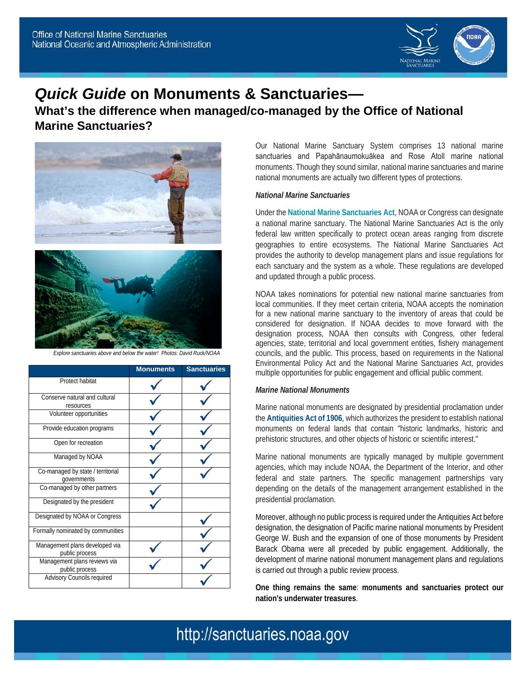

# *Quick Guide* **on Monuments & Sanctuaries—**

**What's the difference when managed/co-managed by the Office of National Marine Sanctuaries?**



*Explore sanctuaries above and below the water! Photos: David Ruck/NOAA*

|                                                  | <b>Monuments</b> | <b>Sanctuaries</b> |
|--------------------------------------------------|------------------|--------------------|
| Protect habitat                                  |                  |                    |
| Conserve natural and cultural<br>resources       |                  |                    |
| Volunteer opportunities                          |                  |                    |
| Provide education programs                       |                  |                    |
| Open for recreation                              |                  |                    |
| Managed by NOAA                                  |                  |                    |
| Co-managed by state / territorial<br>governments |                  |                    |
| Co-managed by other partners                     |                  |                    |
| Designated by the president                      |                  |                    |
| Designated by NOAA or Congress                   |                  |                    |
| Formally nominated by communities                |                  |                    |
| Management plans developed via<br>public process |                  |                    |
| Management plans reviews via<br>public process   |                  |                    |
| <b>Advisory Councils required</b>                |                  |                    |

Our National Marine Sanctuary System comprises 13 national marine sanctuaries and Papahānaumokuākea and Rose Atoll marine national monuments. Though they sound similar, national marine sanctuaries and marine national monuments are actually two different types of protections.

#### *National Marine Sanctuaries*

Under the **National Marine Sanctuaries Act**, NOAA or Congress can designate a national marine sanctuary. The National Marine Sanctuaries Act is the only federal law written specifically to protect ocean areas ranging from discrete geographies to entire ecosystems. The National Marine Sanctuaries Act provides the authority to develop management plans and issue regulations for each sanctuary and the system as a whole. These regulations are developed and updated through a public process.

NOAA takes nominations for potential new national marine sanctuaries from local communities. If they meet certain criteria, NOAA accepts the nomination for a new national marine sanctuary to the inventory of areas that could be considered for designation. If NOAA decides to move forward with the designation process, NOAA then consults with Congress, other federal agencies, state, territorial and local government entities, fishery management councils, and the public. This process, based on requirements in the National Environmental Policy Act and the National Marine Sanctuaries Act, provides multiple opportunities for public engagement and official public comment.

### *Marine National Monuments*

Marine national monuments are designated by presidential proclamation under the **Antiquities Act of 1906**, which authorizes the president to establish national monuments on federal lands that contain "historic landmarks, historic and prehistoric structures, and other objects of historic or scientific interest."

Marine national monuments are typically managed by multiple government agencies, which may include NOAA, the Department of the Interior, and other federal and state partners. The specific management partnerships vary depending on the details of the management arrangement established in the presidential proclamation.

Moreover, although no public process is required under the Antiquities Act before designation, the designation of Pacific marine national monuments by President George W. Bush and the expansion of one of those monuments by President Barack Obama were all preceded by public engagement. Additionally, the development of marine national monument management plans and regulations is carried out through a public review process.

**One thing remains the same**: **monuments and sanctuaries protect our nation's underwater treasures**.